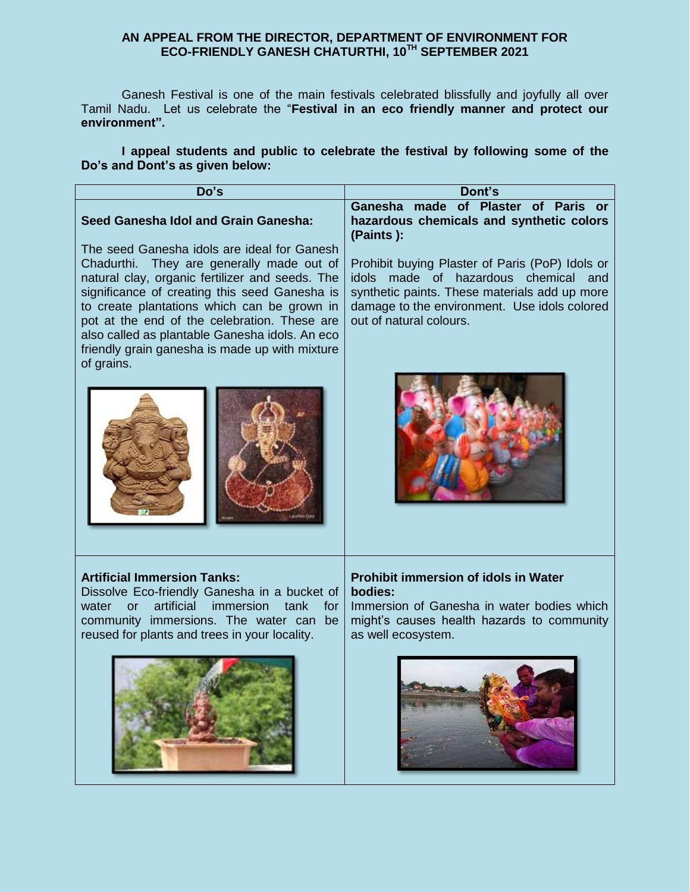## **AN APPEAL FROM THE DIRECTOR, DEPARTMENT OF ENVIRONMENT FOR ECO-FRIENDLY GANESH CHATURTHI, 10TH SEPTEMBER 2021**

Ganesh Festival is one of the main festivals celebrated blissfully and joyfully all over Tamil Nadu. Let us celebrate the "**Festival in an eco friendly manner and protect our environment".**

**I appeal students and public to celebrate the festival by following some of the Do's and Dont's as given below:**

| Do's                                                                                                                                                                                                                                                                                                                                                                                                          | Dont's                                                                                                                                                                                                                        |
|---------------------------------------------------------------------------------------------------------------------------------------------------------------------------------------------------------------------------------------------------------------------------------------------------------------------------------------------------------------------------------------------------------------|-------------------------------------------------------------------------------------------------------------------------------------------------------------------------------------------------------------------------------|
| Seed Ganesha Idol and Grain Ganesha:                                                                                                                                                                                                                                                                                                                                                                          | Ganesha made of Plaster of Paris or<br>hazardous chemicals and synthetic colors<br>(Paints):                                                                                                                                  |
| The seed Ganesha idols are ideal for Ganesh<br>Chadurthi. They are generally made out of<br>natural clay, organic fertilizer and seeds. The<br>significance of creating this seed Ganesha is<br>to create plantations which can be grown in<br>pot at the end of the celebration. These are<br>also called as plantable Ganesha idols. An eco<br>friendly grain ganesha is made up with mixture<br>of grains. | Prohibit buying Plaster of Paris (PoP) Idols or<br>made of hazardous chemical and<br><i>idols</i><br>synthetic paints. These materials add up more<br>damage to the environment. Use idols colored<br>out of natural colours. |
|                                                                                                                                                                                                                                                                                                                                                                                                               |                                                                                                                                                                                                                               |
| <b>Artificial Immersion Tanks:</b><br>Dissolve Eco-friendly Ganesha in a bucket of<br>artificial<br><i>immersion</i><br>tank<br>for<br>water<br>$\alpha$<br>community immersions. The water can be<br>reused for plants and trees in your locality.                                                                                                                                                           | <b>Prohibit immersion of idols in Water</b><br>bodies:<br>Immersion of Ganesha in water bodies which<br>might's causes health hazards to community<br>as well ecosystem.                                                      |
|                                                                                                                                                                                                                                                                                                                                                                                                               |                                                                                                                                                                                                                               |